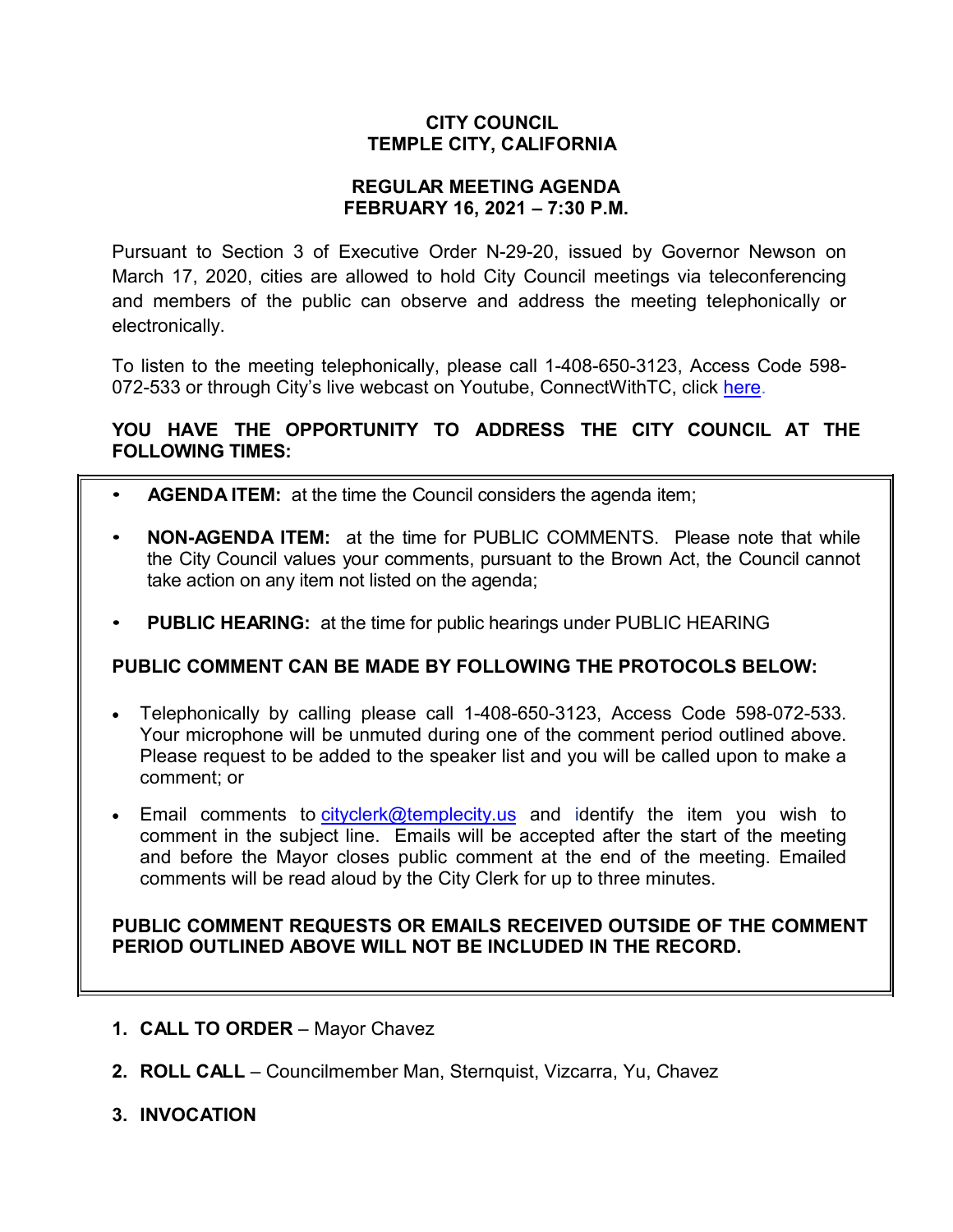# **CITY COUNCIL TEMPLE CITY, CALIFORNIA**

### **REGULAR MEETING AGENDA FEBRUARY 16, 2021 – 7:30 P.M.**

Pursuant to Section 3 of Executive Order N-29-20, issued by Governor Newson on March 17, 2020, cities are allowed to hold City Council meetings via teleconferencing and members of the public can observe and address the meeting telephonically or electronically.

To listen to the meeting telephonically, please call 1-408-650-3123, Access Code 598 072-533 or through City's live webcast on Youtube, ConnectWithTC, click [here.](https://www.ci.temple-city.ca.us/516/Meeting-Webcast)

# **YOU HAVE THE OPPORTUNITY TO ADDRESS THE CITY COUNCIL AT THE FOLLOWING TIMES:**

- **AGENDA ITEM:** at the time the Council considers the agenda item;
- **NON-AGENDA ITEM:** at the time for PUBLIC COMMENTS. Please note that while the City Council values your comments, pursuant to the Brown Act, the Council cannot take action on any item not listed on the agenda;
- **PUBLIC HEARING:** at the time for public hearings under PUBLIC HEARING

# **PUBLIC COMMENT CAN BE MADE BY FOLLOWING THE PROTOCOLS BELOW:**

- Telephonically by calling please call 1-408-650-3123, Access Code 598-072-533. Your microphone will be unmuted during one of the comment period outlined above. Please request to be added to the speaker list and you will be called upon to make a comment; or
- Email comments to [cityclerk@templecity.us](mailto:cityclerk@templecity.us) and identify the item you wish to comment in the subject line. Emails will be accepted after the start of the meeting and before the Mayor closes public comment at the end of the meeting. Emailed comments will be read aloud by the City Clerk for up to three minutes.

### **PUBLIC COMMENT REQUESTS OR EMAILS RECEIVED OUTSIDE OF THE COMMENT PERIOD OUTLINED ABOVE WILL NOT BE INCLUDED IN THE RECORD.**

- **1. CALL TO ORDER**  Mayor Chavez
- **2. ROLL CALL**  Councilmember Man, Sternquist, Vizcarra, Yu, Chavez
- **3. INVOCATION**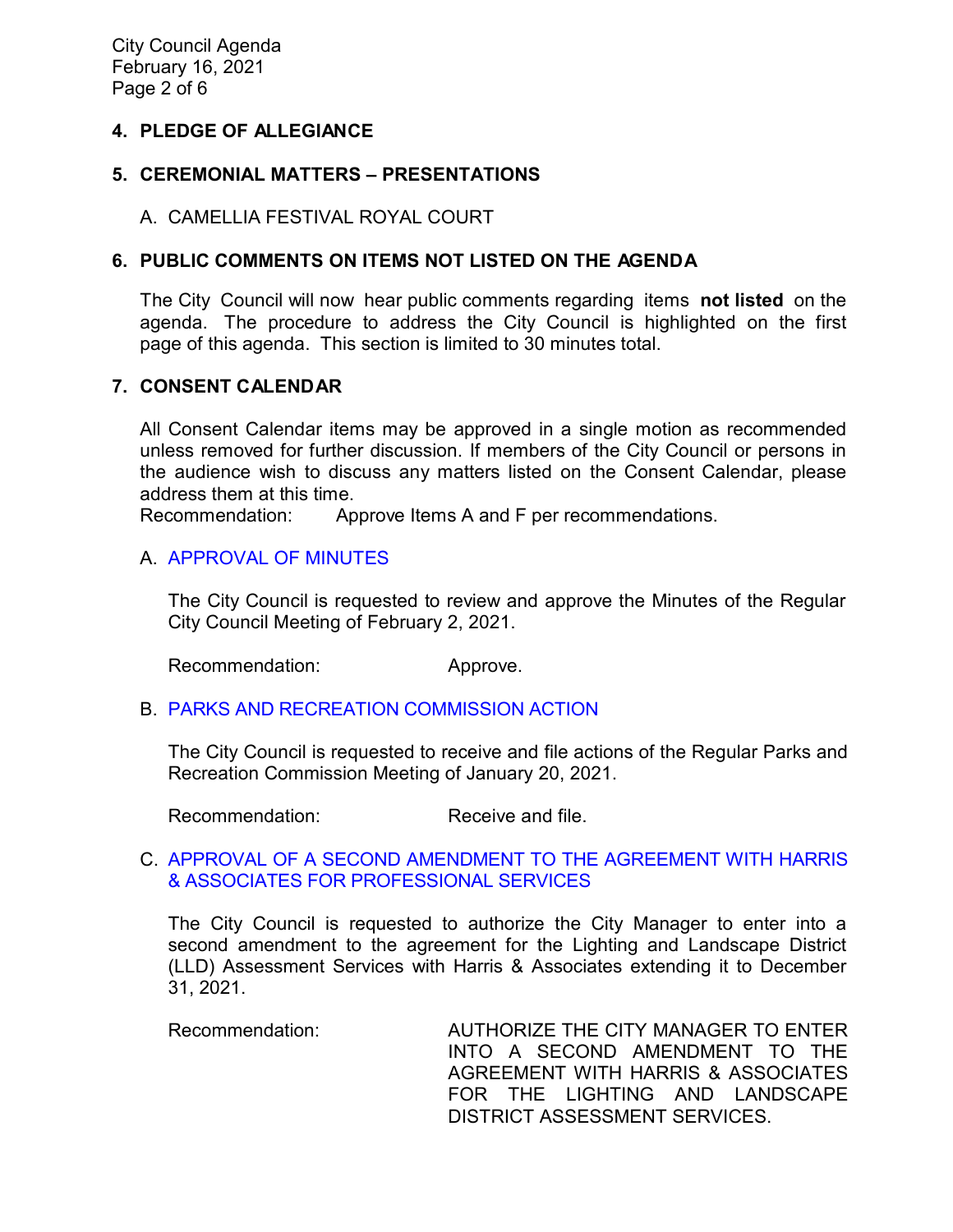City Council Agenda February 16, 2021 Page 2 of 6

### **4. PLEDGE OF ALLEGIANCE**

## **5. CEREMONIAL MATTERS – PRESENTATIONS**

A. CAMELLIA FESTIVAL ROYAL COURT

# **6. PUBLIC COMMENTS ON ITEMS NOT LISTED ON THE AGENDA**

The City Council will now hear public comments regarding items **not listed** on the agenda. The procedure to address the City Council is highlighted on the first page of this agenda. This section is limited to 30 minutes total.

### **7. CONSENT CALENDAR**

All Consent Calendar items may be approved in a single motion as recommended unless removed for further discussion. If members of the City Council or persons in the audience wish to discuss any matters listed on the Consent Calendar, please address them at this time.

Recommendation: Approve Items A and F per recommendations.

### A. [APPROVAL](https://ca-templecity.civicplus.com/DocumentCenter/View/15786/7A_CCM---2021-02-02) OF MINUTES

The City Council is requested to review and approve the Minutes of the Regular City Council Meeting of February 2, 2021.

Recommendation: Approve.

### B. [PARKS AND RECREATION COMMISSION ACTION](https://ca-templecity.civicplus.com/DocumentCenter/View/15787/7B_PRC-Regular-Meeting-Actions_Staff-Report-2021-2-1)

The City Council is requested to receive and file actions of the Regular Parks and Recreation Commission Meeting of January 20, 2021.

Recommendation: Receive and file.

### C. APPROVAL OF A SECOND [AMENDMENT TO THE AGREEMENT WITH HARRIS](https://ca-templecity.civicplus.com/DocumentCenter/View/15788/7C_Harris-and-Associates_Staff-Report-Second-Amendment-Harris-Extension-Final-w-attachment)  [& ASSOCIATES FOR PROFESSIONAL SERVICES](https://ca-templecity.civicplus.com/DocumentCenter/View/15788/7C_Harris-and-Associates_Staff-Report-Second-Amendment-Harris-Extension-Final-w-attachment)

The City Council is requested to authorize the City Manager to enter into a second amendment to the agreement for the Lighting and Landscape District (LLD) Assessment Services with Harris & Associates extending it to December 31, 2021.

Recommendation: AUTHORIZE THE CITY MANAGER TO ENTER INTO A SECOND AMENDMENT TO THE AGREEMENT WITH HARRIS & ASSOCIATES FOR THE LIGHTING AND LANDSCAPE DISTRICT ASSESSMENT SERVICES.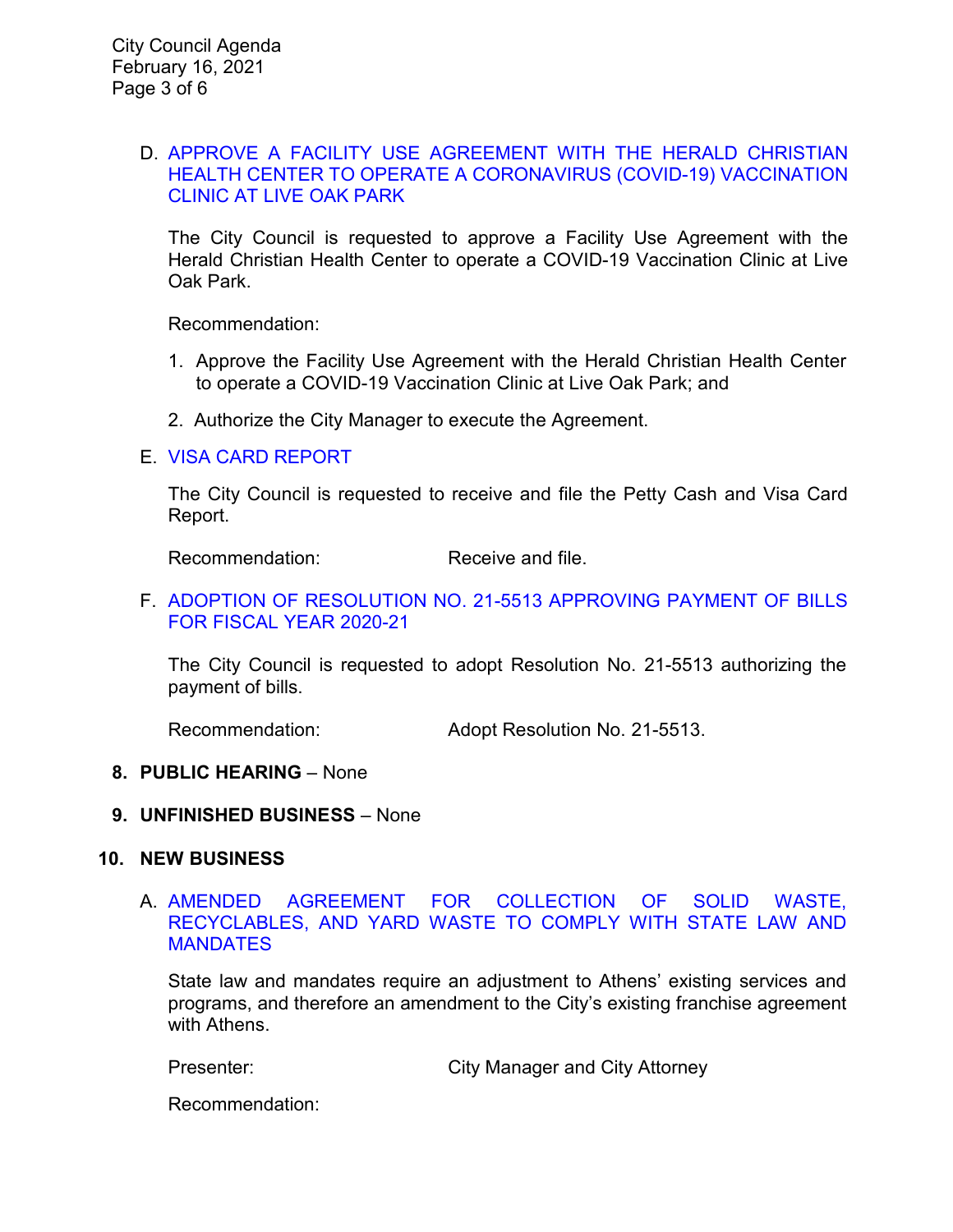#### D. [APPROVE A FACILITY USE AGREEMENT WITH THE HERALD CHRISTIAN](https://ca-templecity.civicplus.com/DocumentCenter/View/15789/7D_COVID-Clinic_Staff-Report-_final-w-attachment-B)  [HEALTH CENTER TO OPERATE A CORONAVIRUS \(COVID-19\) VACCINATION](https://ca-templecity.civicplus.com/DocumentCenter/View/15789/7D_COVID-Clinic_Staff-Report-_final-w-attachment-B)  [CLINIC AT LIVE OAK PARK](https://ca-templecity.civicplus.com/DocumentCenter/View/15789/7D_COVID-Clinic_Staff-Report-_final-w-attachment-B)

The City Council is requested to approve a Facility Use Agreement with the Herald Christian Health Center to operate a COVID-19 Vaccination Clinic at Live Oak Park.

Recommendation:

- 1. Approve the Facility Use Agreement with the Herald Christian Health Center to operate a COVID-19 Vaccination Clinic at Live Oak Park; and
- 2. Authorize the City Manager to execute the Agreement.

### E. [VISA CARD REPORT](https://ca-templecity.civicplus.com/DocumentCenter/View/15790/7E_Visa-Card-Report-2-16-21)

The City Council is requested to receive and file the Petty Cash and Visa Card Report.

Recommendation: Receive and file.

#### F. [ADOPTION OF RESOLUTION NO. 21-5513](https://ca-templecity.civicplus.com/DocumentCenter/View/15791/7F_Council-Warrants_Reso-No-21-5513_final-w-attachment) APPROVING PAYMENT OF BILLS [FOR FISCAL YEAR 2020-21](https://ca-templecity.civicplus.com/DocumentCenter/View/15791/7F_Council-Warrants_Reso-No-21-5513_final-w-attachment)

The City Council is requested to adopt Resolution No. 21-5513 authorizing the payment of bills.

Recommendation: Adopt Resolution No. 21-5513.

### **8. PUBLIC HEARING** – None

### **9. UNFINISHED BUSINESS** – None

#### **10. NEW BUSINESS**

### A. [AMENDED AGREEMENT FOR COLLECTION OF SOLID WASTE,](https://ca-templecity.civicplus.com/DocumentCenter/View/15792/10A_Athens_Third-Amended-and-Restated-Agreement-with-Athens_Staff-Report-Final-w-attachments)  [RECYCLABLES, AND YARD WASTE TO COMPLY WITH STATE LAW AND](https://ca-templecity.civicplus.com/DocumentCenter/View/15792/10A_Athens_Third-Amended-and-Restated-Agreement-with-Athens_Staff-Report-Final-w-attachments)  **[MANDATES](https://ca-templecity.civicplus.com/DocumentCenter/View/15792/10A_Athens_Third-Amended-and-Restated-Agreement-with-Athens_Staff-Report-Final-w-attachments)**

State law and mandates require an adjustment to Athens' existing services and programs, and therefore an amendment to the City's existing franchise agreement with Athens.

Presenter: City Manager and City Attorney

Recommendation: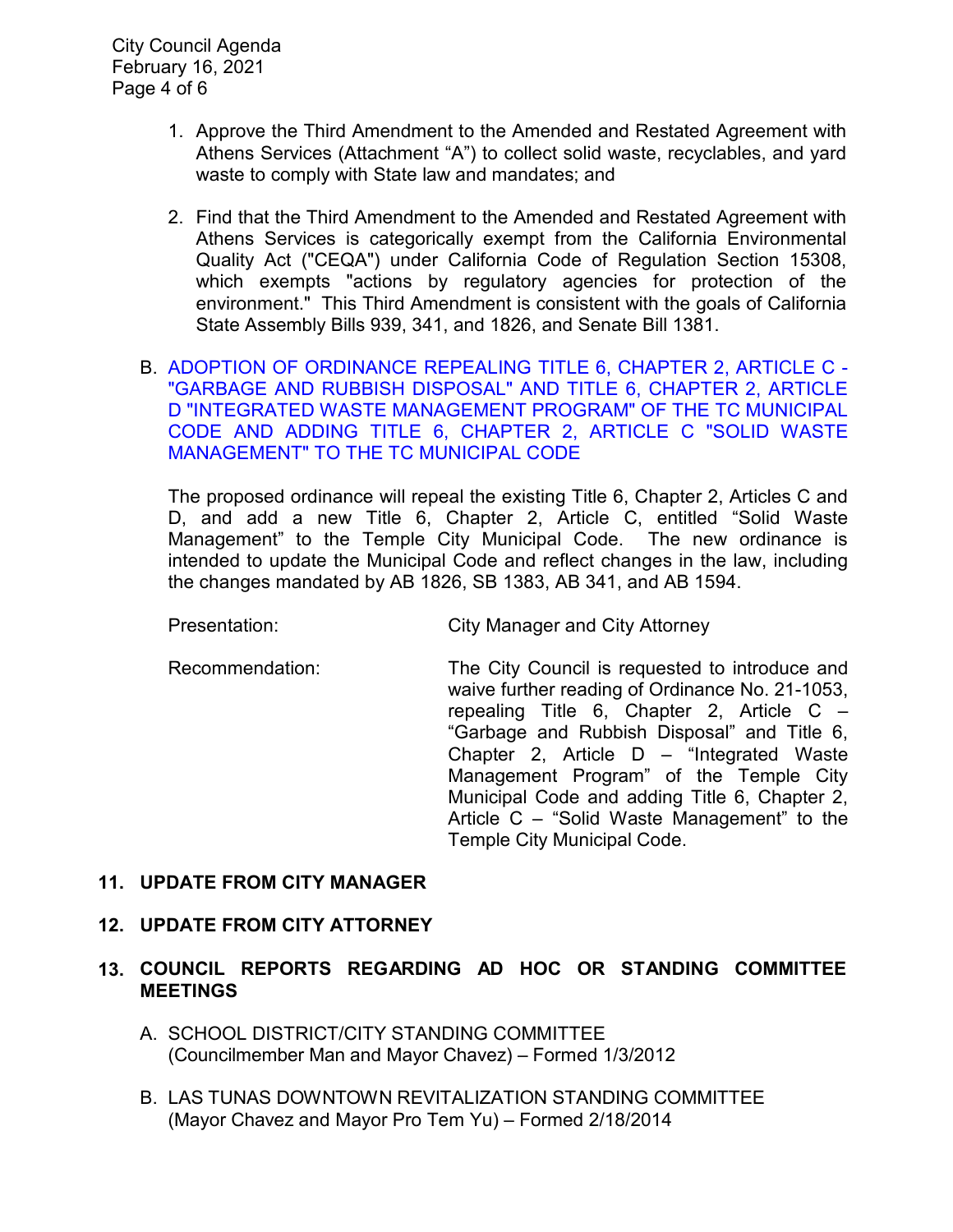City Council Agenda February 16, 2021 Page 4 of 6

- 1. Approve the Third Amendment to the Amended and Restated Agreement with Athens Services (Attachment "A") to collect solid waste, recyclables, and yard waste to comply with State law and mandates; and
- 2. Find that the Third Amendment to the Amended and Restated Agreement with Athens Services is categorically exempt from the California Environmental Quality Act ("CEQA") under California Code of Regulation Section 15308, which exempts "actions by regulatory agencies for protection of the environment." This Third Amendment is consistent with the goals of California State Assembly Bills 939, 341, and 1826, and Senate Bill 1381.
- B. [ADOPTION OF ORDINANCE REPEALING TITLE 6, CHAPTER 2, ARTICLE C -](https://ca-templecity.civicplus.com/DocumentCenter/View/15793/10B_Waste-Management-Ordinance-No-21-1053_Staff-Report_w-attachment) ["GARBAGE AND RUBBISH DISPOSAL" AND TITLE 6, CHAPTER 2, ARTICLE](https://ca-templecity.civicplus.com/DocumentCenter/View/15793/10B_Waste-Management-Ordinance-No-21-1053_Staff-Report_w-attachment)  [D "INTEGRATED WASTE MANAGEMENT PROGRAM" OF THE TC MUNICIPAL](https://ca-templecity.civicplus.com/DocumentCenter/View/15793/10B_Waste-Management-Ordinance-No-21-1053_Staff-Report_w-attachment)  [CODE AND ADDING TITLE 6, CHAPTER 2, ARTICLE C "SOLID WASTE](https://ca-templecity.civicplus.com/DocumentCenter/View/15793/10B_Waste-Management-Ordinance-No-21-1053_Staff-Report_w-attachment)  [MANAGEMENT" TO THE TC MUNICIPAL CODE](https://ca-templecity.civicplus.com/DocumentCenter/View/15793/10B_Waste-Management-Ordinance-No-21-1053_Staff-Report_w-attachment)

The proposed ordinance will repeal the existing Title 6, Chapter 2, Articles C and D, and add a new Title 6, Chapter 2, Article C, entitled "Solid Waste Management" to the Temple City Municipal Code. The new ordinance is intended to update the Municipal Code and reflect changes in the law, including the changes mandated by AB 1826, SB 1383, AB 341, and AB 1594.

Presentation: City Manager and City Attorney

Recommendation: The City Council is requested to introduce and waive further reading of Ordinance No. 21-1053, repealing Title 6, Chapter 2, Article C – "Garbage and Rubbish Disposal" and Title 6, Chapter 2, Article D – "Integrated Waste Management Program" of the Temple City Municipal Code and adding Title 6, Chapter 2, Article C – "Solid Waste Management" to the Temple City Municipal Code.

## **11. UPDATE FROM CITY MANAGER**

### **12. UPDATE FROM CITY ATTORNEY**

- **13. COUNCIL REPORTS REGARDING AD HOC OR STANDING COMMITTEE MEETINGS**
	- A. SCHOOL DISTRICT/CITY STANDING COMMITTEE (Councilmember Man and Mayor Chavez) – Formed 1/3/2012
	- B. LAS TUNAS DOWNTOWN REVITALIZATION STANDING COMMITTEE (Mayor Chavez and Mayor Pro Tem Yu) – Formed 2/18/2014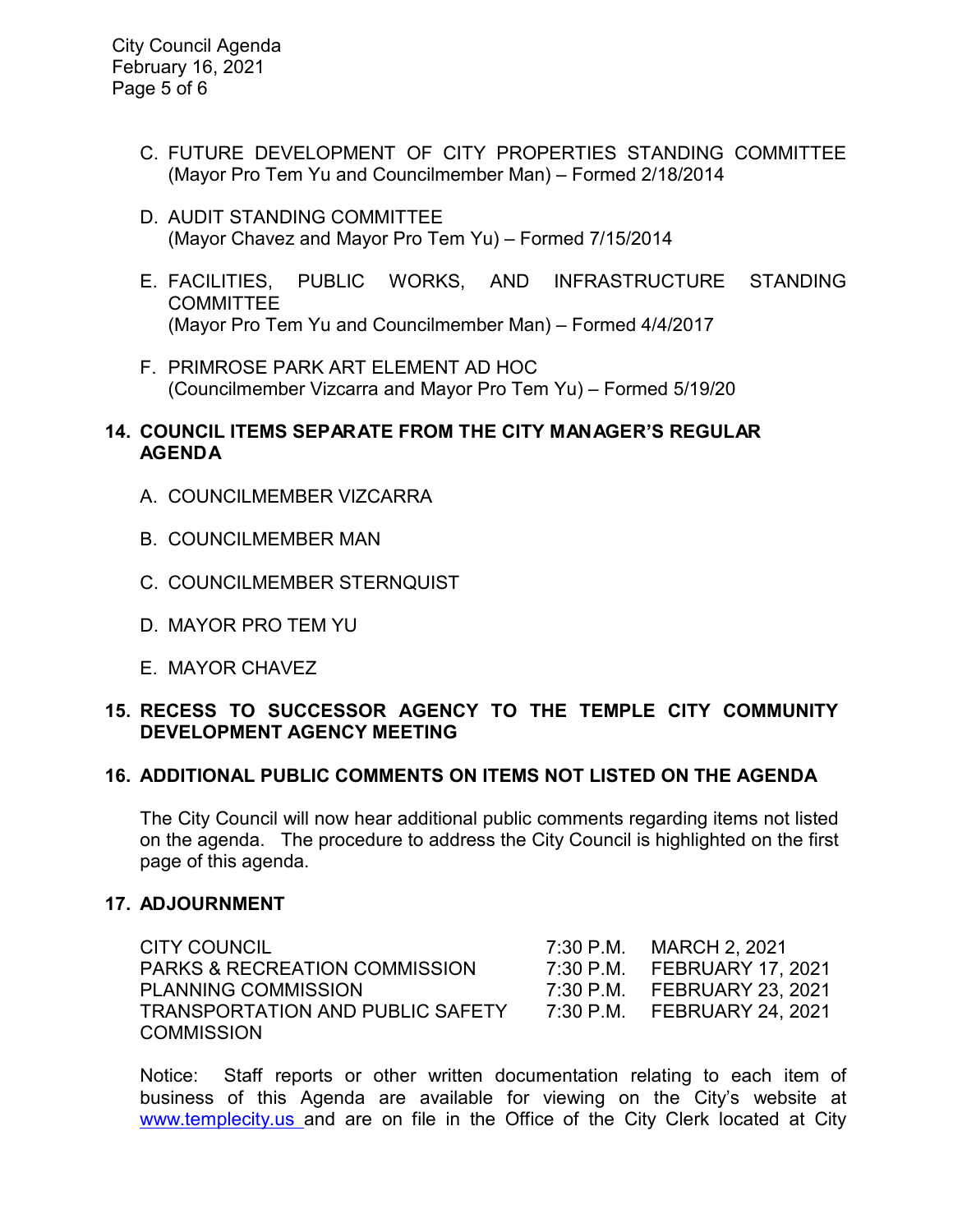City Council Agenda February 16, 2021 Page 5 of 6

- C. FUTURE DEVELOPMENT OF CITY PROPERTIES STANDING COMMITTEE (Mayor Pro Tem Yu and Councilmember Man) – Formed 2/18/2014
- D. AUDIT STANDING COMMITTEE (Mayor Chavez and Mayor Pro Tem Yu) – Formed 7/15/2014
- E. FACILITIES, PUBLIC WORKS, AND INFRASTRUCTURE STANDING COMMITTEE (Mayor Pro Tem Yu and Councilmember Man) – Formed 4/4/2017
- F. PRIMROSE PARK ART ELEMENT AD HOC (Councilmember Vizcarra and Mayor Pro Tem Yu) – Formed 5/19/20

### **14. COUNCIL ITEMS SEPARATE FROM THE CITY MANAGER'S REGULAR AGENDA**

- A. COUNCILMEMBER VIZCARRA
- B. COUNCILMEMBER MAN
- C. COUNCILMEMBER STERNQUIST
- D. MAYOR PRO TEM YU
- E. MAYOR CHAVEZ

### **15. RECESS TO SUCCESSOR AGENCY TO THE TEMPLE CITY COMMUNITY DEVELOPMENT AGENCY MEETING**

#### **16. ADDITIONAL PUBLIC COMMENTS ON ITEMS NOT LISTED ON THE AGENDA**

The City Council will now hear additional public comments regarding items not listed on the agenda. The procedure to address the City Council is highlighted on the first page of this agenda.

#### **17. ADJOURNMENT**

| CITY COUNCIL                             | 7:30 P.M. MARCH 2, 2021     |
|------------------------------------------|-----------------------------|
| <b>PARKS &amp; RECREATION COMMISSION</b> | 7:30 P.M. FEBRUARY 17, 2021 |
| <b>PLANNING COMMISSION</b>               | 7:30 P.M. FEBRUARY 23, 2021 |
| TRANSPORTATION AND PUBLIC SAFETY         | 7:30 P.M. FEBRUARY 24, 2021 |
| <b>COMMISSION</b>                        |                             |

Notice: Staff reports or other written documentation relating to each item of business of this Agenda are available for viewing on the City's website at [www.templecity.us](http://www.templecity.us/) and are on file in the Office of the City Clerk located at City